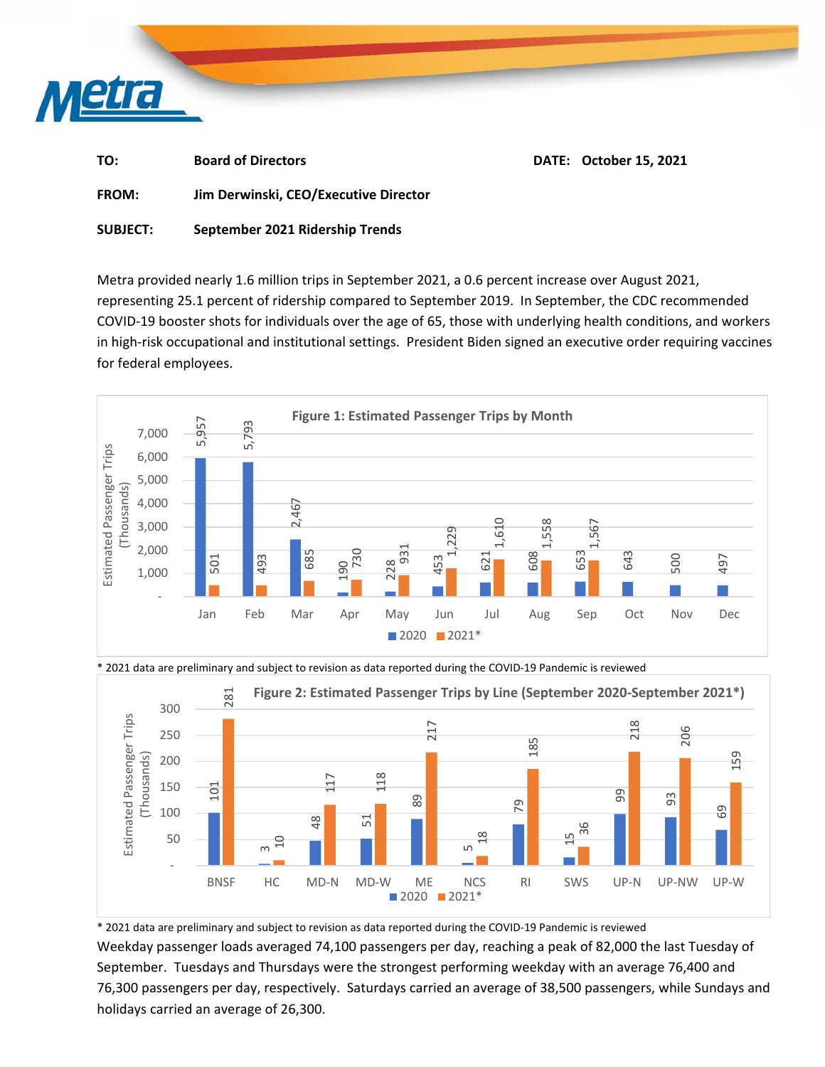

| TO:             | <b>Board of Directors</b>             | <b>DATE: October 15, 2021</b> |
|-----------------|---------------------------------------|-------------------------------|
| <b>FROM:</b>    | Jim Derwinski, CEO/Executive Director |                               |
| <b>SUBJECT:</b> | September 2021 Ridership Trends       |                               |

Metra provided nearly 1.6 million trips in September 2021, a 0.6 percent increase over August 2021, representing 25.1 percent of ridership compared to September 2019. In September, the CDC recommended COVID‐19 booster shots for individuals over the age of 65, those with underlying health conditions, and workers in high-risk occupational and institutional settings. President Biden signed an executive order requiring vaccines for federal employees.





\* 2021 data are preliminary and subject to revision as data reported during the COVID‐19 Pandemic is reviewed

\* 2021 data are preliminary and subject to revision as data reported during the COVID‐19 Pandemic is reviewed Weekday passenger loads averaged 74,100 passengers per day, reaching a peak of 82,000 the last Tuesday of September. Tuesdays and Thursdays were the strongest performing weekday with an average 76,400 and 76,300 passengers per day, respectively. Saturdays carried an average of 38,500 passengers, while Sundays and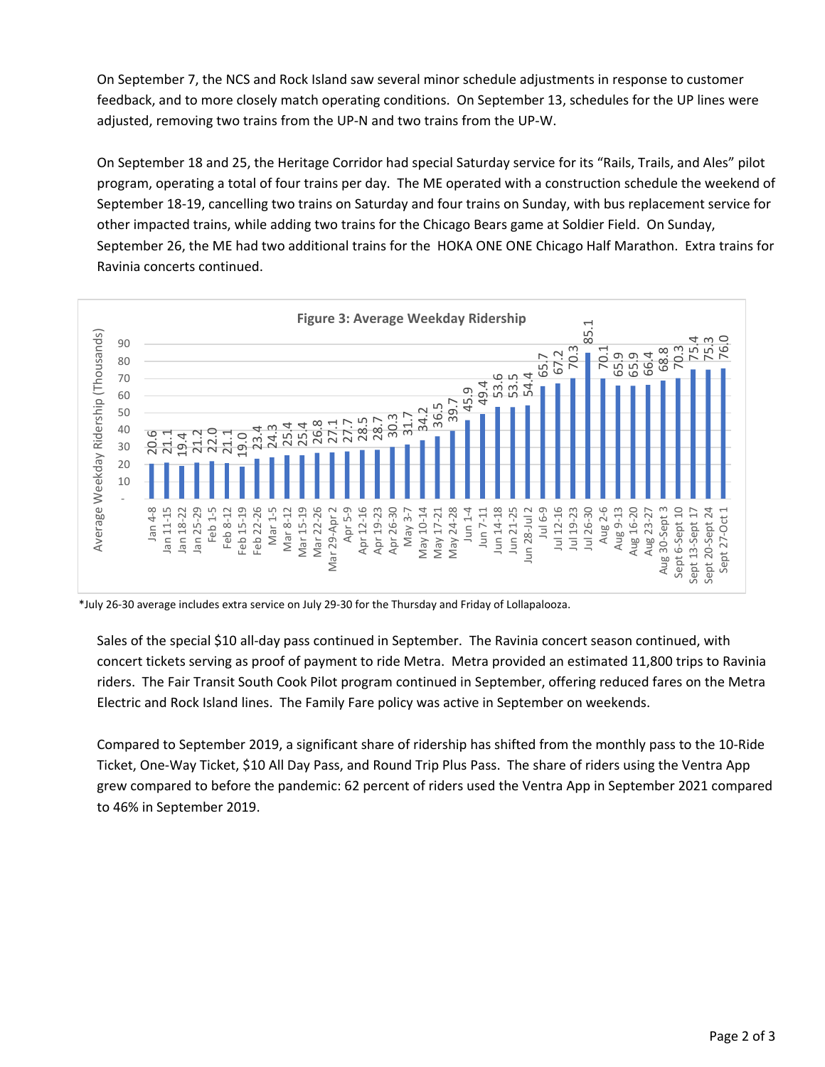On September 7, the NCS and Rock Island saw several minor schedule adjustments in response to customer feedback, and to more closely match operating conditions. On September 13, schedules for the UP lines were adjusted, removing two trains from the UP‐N and two trains from the UP‐W.

On September 18 and 25, the Heritage Corridor had special Saturday service for its "Rails, Trails, and Ales" pilot program, operating a total of four trains per day. The ME operated with a construction schedule the weekend of September 18‐19, cancelling two trains on Saturday and four trains on Sunday, with bus replacement service for other impacted trains, while adding two trains for the Chicago Bears game at Soldier Field. On Sunday, September 26, the ME had two additional trains for the HOKA ONE ONE Chicago Half Marathon. Extra trains for Ravinia concerts continued.



\*July 26‐30 average includes extra service on July 29‐30 for the Thursday and Friday of Lollapalooza.

Sales of the special \$10 all-day pass continued in September. The Ravinia concert season continued, with concert tickets serving as proof of payment to ride Metra. Metra provided an estimated 11,800 trips to Ravinia riders. The Fair Transit South Cook Pilot program continued in September, offering reduced fares on the Metra Electric and Rock Island lines. The Family Fare policy was active in September on weekends.

Compared to September 2019, a significant share of ridership has shifted from the monthly pass to the 10‐Ride Ticket, One‐Way Ticket, \$10 All Day Pass, and Round Trip Plus Pass. The share of riders using the Ventra App grew compared to before the pandemic: 62 percent of riders used the Ventra App in September 2021 compared to 46% in September 2019.